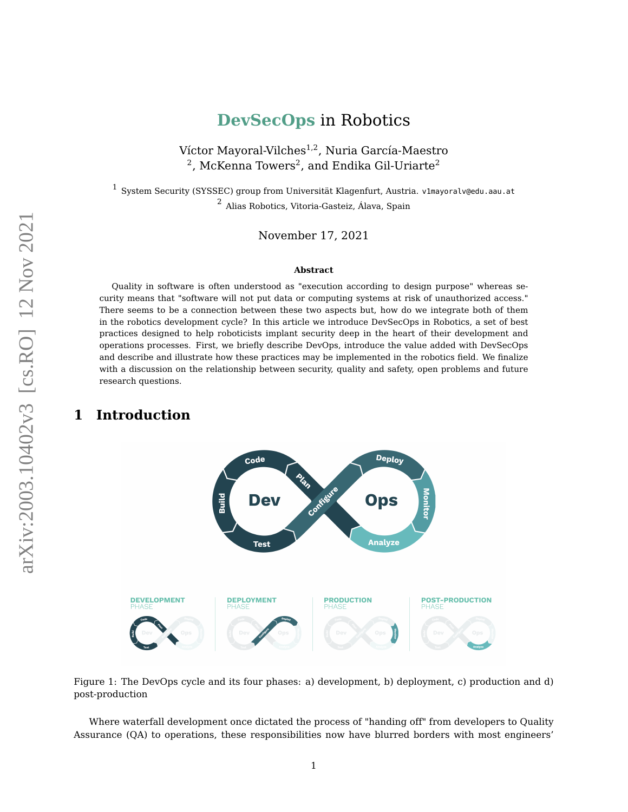# **DevSecOps** in Robotics

Víctor Mayoral-Vilches<sup>1,2</sup>, Nuria García-Maestro  $^{\rm 2}$ , McKenna Towers $^{\rm 2}$ , and Endika Gil-Uriarte $^{\rm 2}$ 

<span id="page-0-1"></span> $^1$  System Security (SYSSEC) group from Universität Klagenfurt, Austria. v1mayoralv@edu.aau.at <sup>2</sup> Alias Robotics, Vitoria-Gasteiz, Álava, Spain

November 17, 2021

#### **Abstract**

Quality in software is often understood as "execution according to design purpose" whereas security means that "software will not put data or computing systems at risk of unauthorized access." There seems to be a connection between these two aspects but, how do we integrate both of them in the robotics development cycle? In this article we introduce DevSecOps in Robotics, a set of best practices designed to help roboticists implant security deep in the heart of their development and operations processes. First, we briefly describe DevOps, introduce the value added with DevSecOps and describe and illustrate how these practices may be implemented in the robotics field. We finalize with a discussion on the relationship between security, quality and safety, open problems and future research questions.

## <span id="page-0-0"></span>**1 Introduction**



Figure 1: The DevOps cycle and its four phases: a) development, b) deployment, c) production and d) post-production

Where waterfall development once dictated the process of "handing off" from developers to Quality Assurance (QA) to operations, these responsibilities now have blurred borders with most engineers'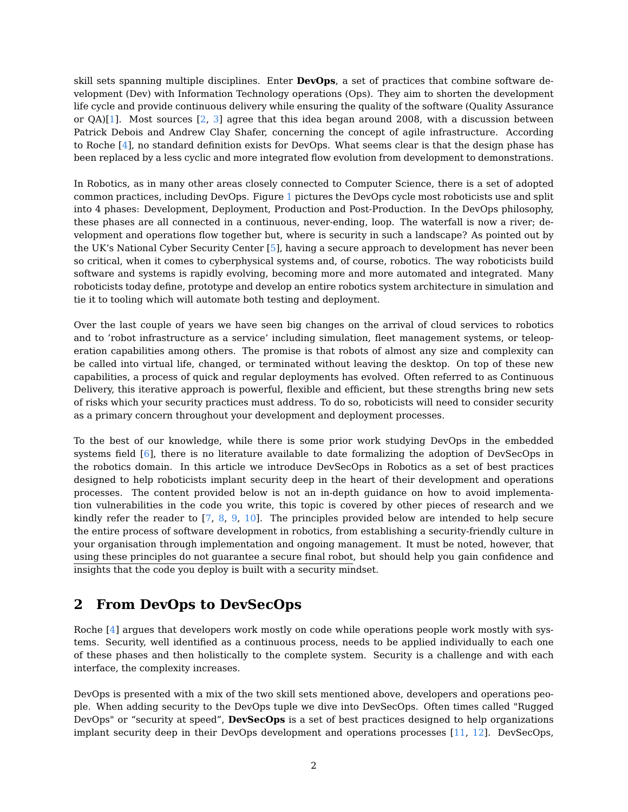skill sets spanning multiple disciplines. Enter **DevOps**, a set of practices that combine software development (Dev) with Information Technology operations (Ops). They aim to shorten the development life cycle and provide continuous delivery while ensuring the quality of the software (Quality Assurance or  $QA)[1]$  $QA)[1]$ . Most sources  $[2, 3]$  $[2, 3]$  $[2, 3]$  agree that this idea began around 2008, with a discussion between Patrick Debois and Andrew Clay Shafer, concerning the concept of agile infrastructure. According to Roche [\[4\]](#page-8-0), no standard definition exists for DevOps. What seems clear is that the design phase has been replaced by a less cyclic and more integrated flow evolution from development to demonstrations.

In Robotics, as in many other areas closely connected to Computer Science, there is a set of adopted common practices, including DevOps. Figure [1](#page-0-0) pictures the DevOps cycle most roboticists use and split into 4 phases: Development, Deployment, Production and Post-Production. In the DevOps philosophy, these phases are all connected in a continuous, never-ending, loop. The waterfall is now a river; development and operations flow together but, where is security in such a landscape? As pointed out by the UK's National Cyber Security Center [\[5\]](#page-8-1), having a secure approach to development has never been so critical, when it comes to cyberphysical systems and, of course, robotics. The way roboticists build software and systems is rapidly evolving, becoming more and more automated and integrated. Many roboticists today define, prototype and develop an entire robotics system architecture in simulation and tie it to tooling which will automate both testing and deployment.

Over the last couple of years we have seen big changes on the arrival of cloud services to robotics and to 'robot infrastructure as a service' including simulation, fleet management systems, or teleoperation capabilities among others. The promise is that robots of almost any size and complexity can be called into virtual life, changed, or terminated without leaving the desktop. On top of these new capabilities, a process of quick and regular deployments has evolved. Often referred to as Continuous Delivery, this iterative approach is powerful, flexible and efficient, but these strengths bring new sets of risks which your security practices must address. To do so, roboticists will need to consider security as a primary concern throughout your development and deployment processes.

To the best of our knowledge, while there is some prior work studying DevOps in the embedded systems field [\[6\]](#page-8-2), there is no literature available to date formalizing the adoption of DevSecOps in the robotics domain. In this article we introduce DevSecOps in Robotics as a set of best practices designed to help roboticists implant security deep in the heart of their development and operations processes. The content provided below is not an in-depth guidance on how to avoid implementation vulnerabilities in the code you write, this topic is covered by other pieces of research and we kindly refer the reader to [\[7,](#page-8-3) [8,](#page-8-4) [9,](#page-8-5) [10\]](#page-8-6). The principles provided below are intended to help secure the entire process of software development in robotics, from establishing a security-friendly culture in your organisation through implementation and ongoing management. It must be noted, however, that using these principles do not guarantee a secure final robot, but should help you gain confidence and insights that the code you deploy is built with a security mindset.

# **2 From DevOps to DevSecOps**

Roche [\[4\]](#page-8-0) argues that developers work mostly on code while operations people work mostly with systems. Security, well identified as a continuous process, needs to be applied individually to each one of these phases and then holistically to the complete system. Security is a challenge and with each interface, the complexity increases.

DevOps is presented with a mix of the two skill sets mentioned above, developers and operations people. When adding security to the DevOps tuple we dive into DevSecOps. Often times called "Rugged DevOps" or "security at speed", **DevSecOps** is a set of best practices designed to help organizations implant security deep in their DevOps development and operations processes [\[11,](#page-8-7) [12\]](#page-8-8). DevSecOps,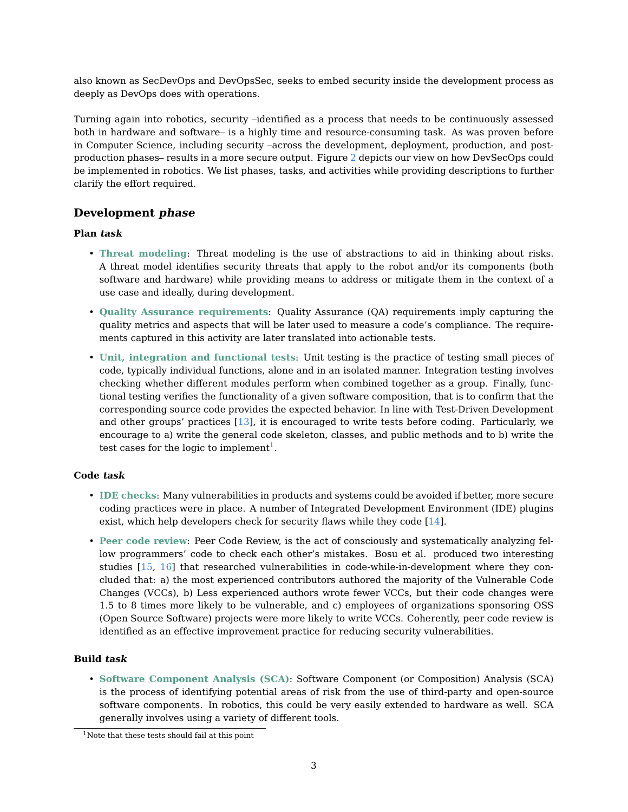also known as SecDevOps and DevOpsSec, seeks to embed security inside the development process as deeply as DevOps does with operations.

Turning again into robotics, security –identified as a process that needs to be continuously assessed both in hardware and software– is a highly time and resource-consuming task. As was proven before in Computer Science, including security –across the development, deployment, production, and postproduction phases– results in a more secure output. Figure [2](#page-3-0) depicts our view on how DevSecOps could be implemented in robotics. We list phases, tasks, and activities while providing descriptions to further clarify the effort required.

### **Development phase**

### **Plan task**

- **Threat modeling**: Threat modeling is the use of abstractions to aid in thinking about risks. A threat model identifies security threats that apply to the robot and/or its components (both software and hardware) while providing means to address or mitigate them in the context of a use case and ideally, during development.
- **Quality Assurance requirements**: Quality Assurance (QA) requirements imply capturing the quality metrics and aspects that will be later used to measure a code's compliance. The requirements captured in this activity are later translated into actionable tests.
- **Unit, integration and functional tests**: Unit testing is the practice of testing small pieces of code, typically individual functions, alone and in an isolated manner. Integration testing involves checking whether different modules perform when combined together as a group. Finally, functional testing verifies the functionality of a given software composition, that is to confirm that the corresponding source code provides the expected behavior. In line with Test-Driven Development and other groups' practices [\[13\]](#page-8-9), it is encouraged to write tests before coding. Particularly, we encourage to a) write the general code skeleton, classes, and public methods and to b) write the test cases for the logic to implement<sup>[1](#page-0-1)</sup>.

### **Code task**

- **IDE checks**: Many vulnerabilities in products and systems could be avoided if better, more secure coding practices were in place. A number of Integrated Development Environment (IDE) plugins exist, which help developers check for security flaws while they code [\[14\]](#page-8-10).
- **Peer code review**: Peer Code Review, is the act of consciously and systematically analyzing fellow programmers' code to check each other's mistakes. Bosu et al. produced two interesting studies [\[15,](#page-8-11) [16\]](#page-8-12) that researched vulnerabilities in code-while-in-development where they concluded that: a) the most experienced contributors authored the majority of the Vulnerable Code Changes (VCCs), b) Less experienced authors wrote fewer VCCs, but their code changes were 1.5 to 8 times more likely to be vulnerable, and c) employees of organizations sponsoring OSS (Open Source Software) projects were more likely to write VCCs. Coherently, peer code review is identified as an effective improvement practice for reducing security vulnerabilities.

### **Build task**

• **Software Component Analysis (SCA)**: Software Component (or Composition) Analysis (SCA) is the process of identifying potential areas of risk from the use of third-party and open-source software components. In robotics, this could be very easily extended to hardware as well. SCA generally involves using a variety of different tools.

 $1$ Note that these tests should fail at this point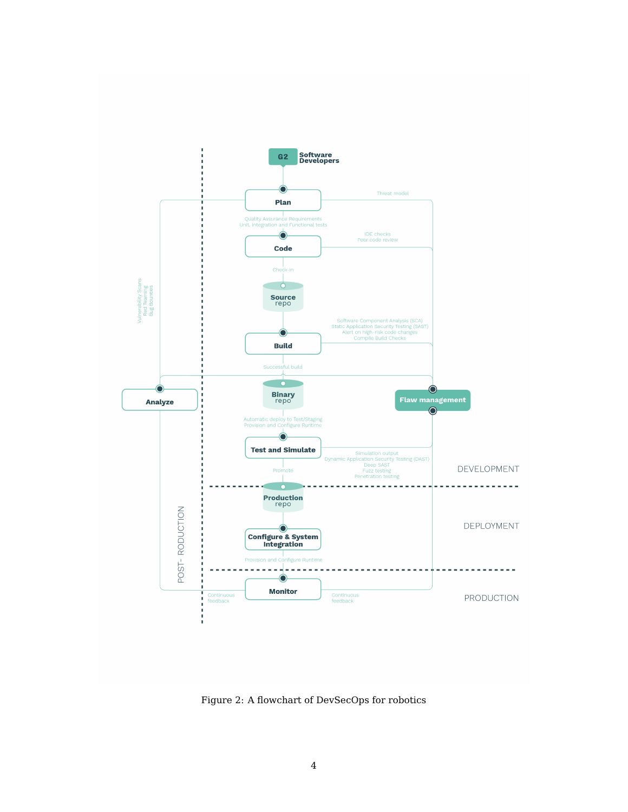<span id="page-3-0"></span>

Figure 2: A flowchart of DevSecOps for robotics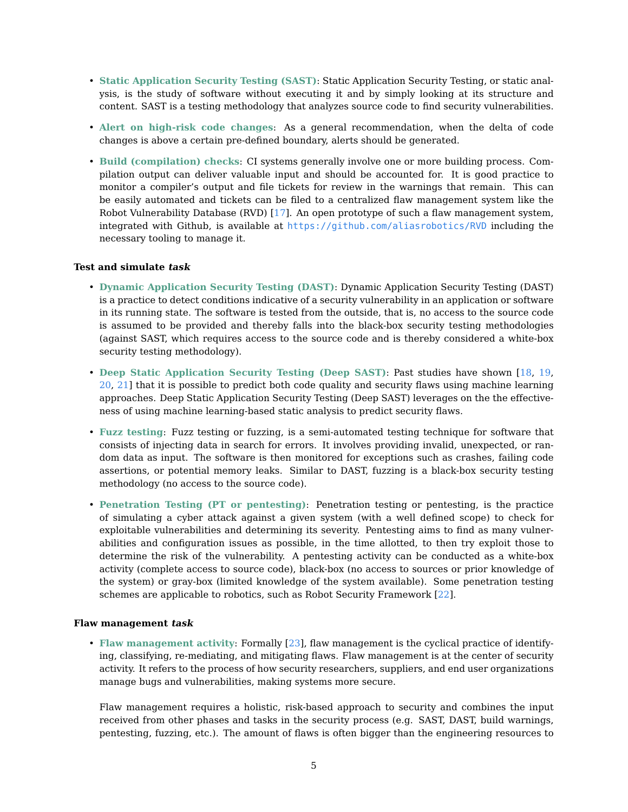- **Static Application Security Testing (SAST)**: Static Application Security Testing, or static analysis, is the study of software without executing it and by simply looking at its structure and content. SAST is a testing methodology that analyzes source code to find security vulnerabilities.
- **Alert on high-risk code changes**: As a general recommendation, when the delta of code changes is above a certain pre-defined boundary, alerts should be generated.
- **Build (compilation) checks**: CI systems generally involve one or more building process. Compilation output can deliver valuable input and should be accounted for. It is good practice to monitor a compiler's output and file tickets for review in the warnings that remain. This can be easily automated and tickets can be filed to a centralized flaw management system like the Robot Vulnerability Database (RVD) [\[17\]](#page-8-13). An open prototype of such a flaw management system, integrated with Github, is available at <https://github.com/aliasrobotics/RVD> including the necessary tooling to manage it.

#### **Test and simulate task**

- **Dynamic Application Security Testing (DAST)**: Dynamic Application Security Testing (DAST) is a practice to detect conditions indicative of a security vulnerability in an application or software in its running state. The software is tested from the outside, that is, no access to the source code is assumed to be provided and thereby falls into the black-box security testing methodologies (against SAST, which requires access to the source code and is thereby considered a white-box security testing methodology).
- **Deep Static Application Security Testing (Deep SAST)**: Past studies have shown [\[18,](#page-8-14) [19,](#page-8-15) [20,](#page-8-16) [21\]](#page-8-17) that it is possible to predict both code quality and security flaws using machine learning approaches. Deep Static Application Security Testing (Deep SAST) leverages on the the effectiveness of using machine learning-based static analysis to predict security flaws.
- **Fuzz testing**: Fuzz testing or fuzzing, is a semi-automated testing technique for software that consists of injecting data in search for errors. It involves providing invalid, unexpected, or random data as input. The software is then monitored for exceptions such as crashes, failing code assertions, or potential memory leaks. Similar to DAST, fuzzing is a black-box security testing methodology (no access to the source code).
- **Penetration Testing (PT or pentesting)**: Penetration testing or pentesting, is the practice of simulating a cyber attack against a given system (with a well defined scope) to check for exploitable vulnerabilities and determining its severity. Pentesting aims to find as many vulnerabilities and configuration issues as possible, in the time allotted, to then try exploit those to determine the risk of the vulnerability. A pentesting activity can be conducted as a white-box activity (complete access to source code), black-box (no access to sources or prior knowledge of the system) or gray-box (limited knowledge of the system available). Some penetration testing schemes are applicable to robotics, such as Robot Security Framework [\[22\]](#page-8-18).

#### **Flaw management task**

• **Flaw management activity**: Formally [\[23\]](#page-9-0), flaw management is the cyclical practice of identifying, classifying, re-mediating, and mitigating flaws. Flaw management is at the center of security activity. It refers to the process of how security researchers, suppliers, and end user organizations manage bugs and vulnerabilities, making systems more secure.

Flaw management requires a holistic, risk-based approach to security and combines the input received from other phases and tasks in the security process (e.g. SAST, DAST, build warnings, pentesting, fuzzing, etc.). The amount of flaws is often bigger than the engineering resources to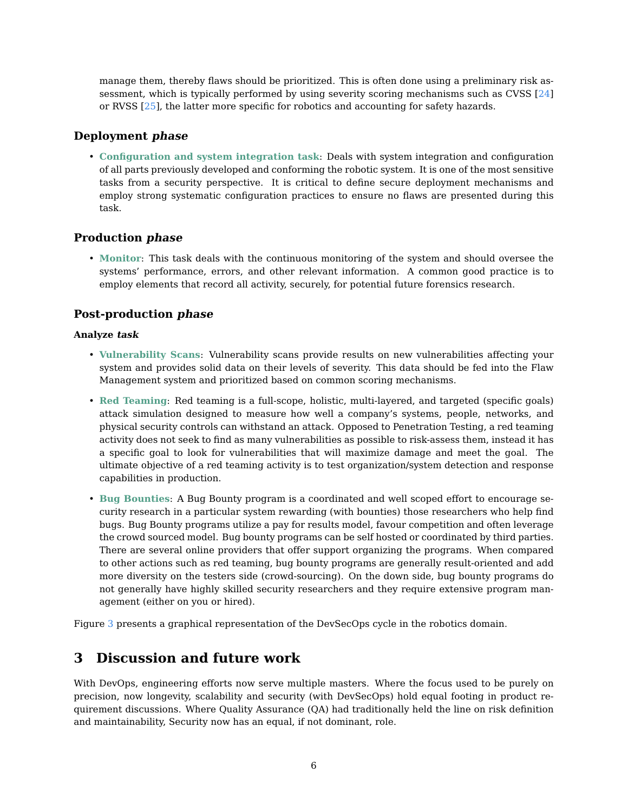manage them, thereby flaws should be prioritized. This is often done using a preliminary risk assessment, which is typically performed by using severity scoring mechanisms such as CVSS [\[24\]](#page-9-1) or RVSS [\[25\]](#page-9-2), the latter more specific for robotics and accounting for safety hazards.

## **Deployment phase**

• **Configuration and system integration task**: Deals with system integration and configuration of all parts previously developed and conforming the robotic system. It is one of the most sensitive tasks from a security perspective. It is critical to define secure deployment mechanisms and employ strong systematic configuration practices to ensure no flaws are presented during this task.

### **Production phase**

• **Monitor**: This task deals with the continuous monitoring of the system and should oversee the systems' performance, errors, and other relevant information. A common good practice is to employ elements that record all activity, securely, for potential future forensics research.

## **Post-production phase**

### **Analyze task**

- **Vulnerability Scans**: Vulnerability scans provide results on new vulnerabilities affecting your system and provides solid data on their levels of severity. This data should be fed into the Flaw Management system and prioritized based on common scoring mechanisms.
- **Red Teaming**: Red teaming is a full-scope, holistic, multi-layered, and targeted (specific goals) attack simulation designed to measure how well a company's systems, people, networks, and physical security controls can withstand an attack. Opposed to Penetration Testing, a red teaming activity does not seek to find as many vulnerabilities as possible to risk-assess them, instead it has a specific goal to look for vulnerabilities that will maximize damage and meet the goal. The ultimate objective of a red teaming activity is to test organization/system detection and response capabilities in production.
- **Bug Bounties**: A Bug Bounty program is a coordinated and well scoped effort to encourage security research in a particular system rewarding (with bounties) those researchers who help find bugs. Bug Bounty programs utilize a pay for results model, favour competition and often leverage the crowd sourced model. Bug bounty programs can be self hosted or coordinated by third parties. There are several online providers that offer support organizing the programs. When compared to other actions such as red teaming, bug bounty programs are generally result-oriented and add more diversity on the testers side (crowd-sourcing). On the down side, bug bounty programs do not generally have highly skilled security researchers and they require extensive program management (either on you or hired).

Figure [3](#page-6-0) presents a graphical representation of the DevSecOps cycle in the robotics domain.

# **3 Discussion and future work**

With DevOps, engineering efforts now serve multiple masters. Where the focus used to be purely on precision, now longevity, scalability and security (with DevSecOps) hold equal footing in product requirement discussions. Where Quality Assurance (QA) had traditionally held the line on risk definition and maintainability, Security now has an equal, if not dominant, role.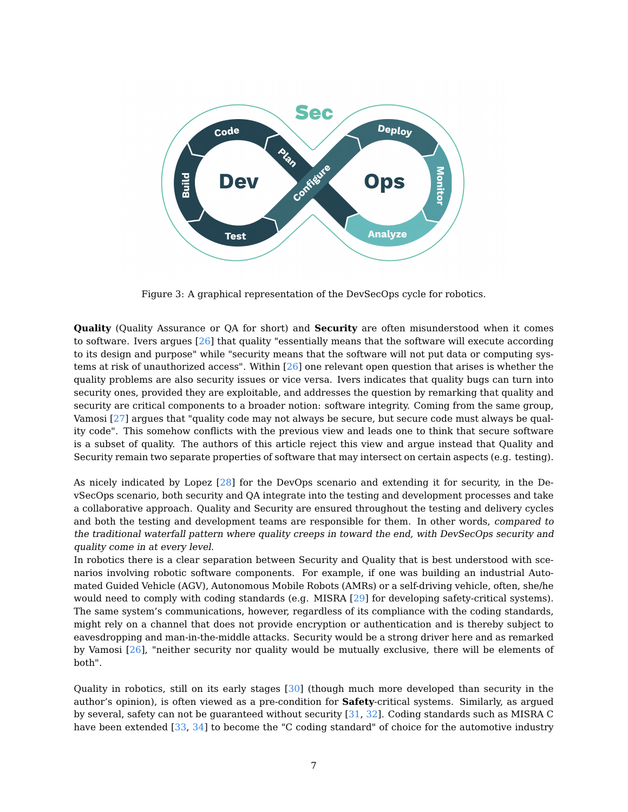<span id="page-6-0"></span>

Figure 3: A graphical representation of the DevSecOps cycle for robotics.

**Quality** (Quality Assurance or QA for short) and **Security** are often misunderstood when it comes to software. Ivers argues [\[26\]](#page-9-3) that quality "essentially means that the software will execute according to its design and purpose" while "security means that the software will not put data or computing systems at risk of unauthorized access". Within [\[26\]](#page-9-3) one relevant open question that arises is whether the quality problems are also security issues or vice versa. Ivers indicates that quality bugs can turn into security ones, provided they are exploitable, and addresses the question by remarking that quality and security are critical components to a broader notion: software integrity. Coming from the same group, Vamosi [\[27\]](#page-9-4) argues that "quality code may not always be secure, but secure code must always be quality code". This somehow conflicts with the previous view and leads one to think that secure software is a subset of quality. The authors of this article reject this view and argue instead that Quality and Security remain two separate properties of software that may intersect on certain aspects (e.g. testing).

As nicely indicated by Lopez [\[28\]](#page-9-5) for the DevOps scenario and extending it for security, in the DevSecOps scenario, both security and QA integrate into the testing and development processes and take a collaborative approach. Quality and Security are ensured throughout the testing and delivery cycles and both the testing and development teams are responsible for them. In other words, compared to the traditional waterfall pattern where quality creeps in toward the end, with DevSecOps security and quality come in at every level.

In robotics there is a clear separation between Security and Quality that is best understood with scenarios involving robotic software components. For example, if one was building an industrial Automated Guided Vehicle (AGV), Autonomous Mobile Robots (AMRs) or a self-driving vehicle, often, she/he would need to comply with coding standards (e.g. MISRA [\[29\]](#page-9-6) for developing safety-critical systems). The same system's communications, however, regardless of its compliance with the coding standards, might rely on a channel that does not provide encryption or authentication and is thereby subject to eavesdropping and man-in-the-middle attacks. Security would be a strong driver here and as remarked by Vamosi [\[26\]](#page-9-3), "neither security nor quality would be mutually exclusive, there will be elements of both".

Quality in robotics, still on its early stages [\[30\]](#page-9-7) (though much more developed than security in the author's opinion), is often viewed as a pre-condition for **Safety**-critical systems. Similarly, as argued by several, safety can not be guaranteed without security [\[31,](#page-9-8) [32\]](#page-9-9). Coding standards such as MISRA C have been extended [\[33,](#page-9-10) [34\]](#page-9-11) to become the "C coding standard" of choice for the automotive industry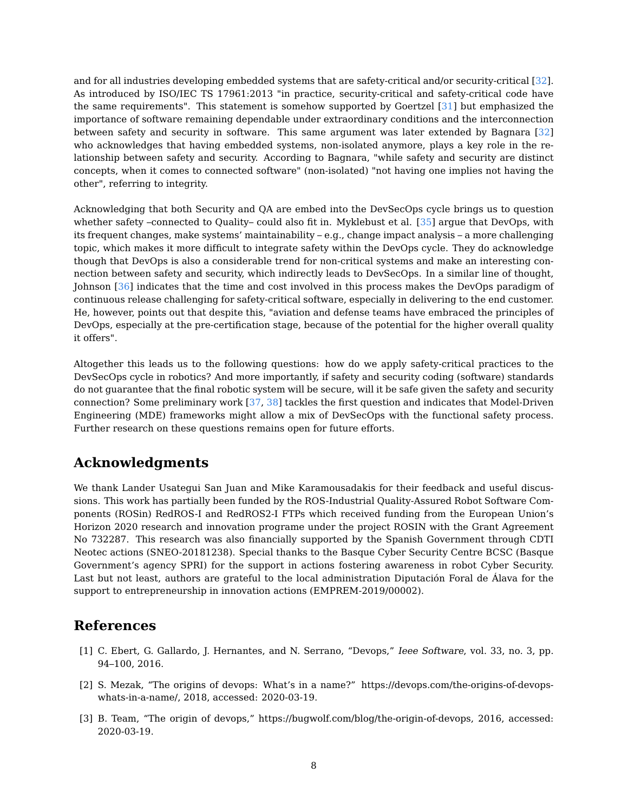and for all industries developing embedded systems that are safety-critical and/or security-critical [\[32\]](#page-9-9). As introduced by ISO/IEC TS 17961:2013 "in practice, security-critical and safety-critical code have the same requirements". This statement is somehow supported by Goertzel [\[31\]](#page-9-8) but emphasized the importance of software remaining dependable under extraordinary conditions and the interconnection between safety and security in software. This same argument was later extended by Bagnara [\[32\]](#page-9-9) who acknowledges that having embedded systems, non-isolated anymore, plays a key role in the relationship between safety and security. According to Bagnara, "while safety and security are distinct concepts, when it comes to connected software" (non-isolated) "not having one implies not having the other", referring to integrity.

Acknowledging that both Security and QA are embed into the DevSecOps cycle brings us to question whether safety –connected to Quality– could also fit in. Myklebust et al. [\[35\]](#page-9-12) argue that DevOps, with its frequent changes, make systems' maintainability – e.g., change impact analysis – a more challenging topic, which makes it more difficult to integrate safety within the DevOps cycle. They do acknowledge though that DevOps is also a considerable trend for non-critical systems and make an interesting connection between safety and security, which indirectly leads to DevSecOps. In a similar line of thought, Johnson [\[36\]](#page-9-13) indicates that the time and cost involved in this process makes the DevOps paradigm of continuous release challenging for safety-critical software, especially in delivering to the end customer. He, however, points out that despite this, "aviation and defense teams have embraced the principles of DevOps, especially at the pre-certification stage, because of the potential for the higher overall quality it offers".

Altogether this leads us to the following questions: how do we apply safety-critical practices to the DevSecOps cycle in robotics? And more importantly, if safety and security coding (software) standards do not guarantee that the final robotic system will be secure, will it be safe given the safety and security connection? Some preliminary work [\[37,](#page-9-14) [38\]](#page-9-15) tackles the first question and indicates that Model-Driven Engineering (MDE) frameworks might allow a mix of DevSecOps with the functional safety process. Further research on these questions remains open for future efforts.

## **Acknowledgments**

We thank Lander Usategui San Juan and Mike Karamousadakis for their feedback and useful discussions. This work has partially been funded by the ROS-Industrial Quality-Assured Robot Software Components (ROSin) RedROS-I and RedROS2-I FTPs which received funding from the European Union's Horizon 2020 research and innovation programe under the project ROSIN with the Grant Agreement No 732287. This research was also financially supported by the Spanish Government through CDTI Neotec actions (SNEO-20181238). Special thanks to the Basque Cyber Security Centre BCSC (Basque Government's agency SPRI) for the support in actions fostering awareness in robot Cyber Security. Last but not least, authors are grateful to the local administration Diputación Foral de Álava for the support to entrepreneurship in innovation actions (EMPREM-2019/00002).

## **References**

- <span id="page-7-0"></span>[1] C. Ebert, G. Gallardo, J. Hernantes, and N. Serrano, "Devops," Ieee Software, vol. 33, no. 3, pp. 94–100, 2016.
- <span id="page-7-1"></span>[2] S. Mezak, "The origins of devops: What's in a name?" https://devops.com/the-origins-of-devopswhats-in-a-name/, 2018, accessed: 2020-03-19.
- <span id="page-7-2"></span>[3] B. Team, "The origin of devops," https://bugwolf.com/blog/the-origin-of-devops, 2016, accessed: 2020-03-19.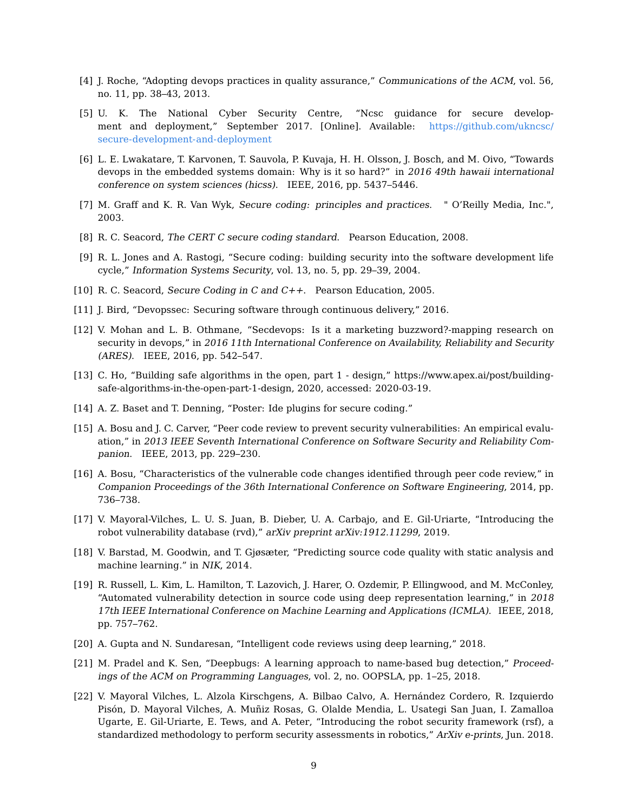- <span id="page-8-0"></span>[4] J. Roche, "Adopting devops practices in quality assurance," Communications of the ACM, vol. 56, no. 11, pp. 38–43, 2013.
- <span id="page-8-1"></span>[5] U. K. The National Cyber Security Centre, "Ncsc guidance for secure development and deployment," September 2017. [Online]. Available: [https://github.com/ukncsc/](https://github.com/ukncsc/secure-development-and-deployment) [secure-development-and-deployment](https://github.com/ukncsc/secure-development-and-deployment)
- <span id="page-8-2"></span>[6] L. E. Lwakatare, T. Karvonen, T. Sauvola, P. Kuvaja, H. H. Olsson, J. Bosch, and M. Oivo, "Towards devops in the embedded systems domain: Why is it so hard?" in 2016 49th hawaii international conference on system sciences (hicss). IEEE, 2016, pp. 5437–5446.
- <span id="page-8-3"></span>[7] M. Graff and K. R. Van Wyk, Secure coding: principles and practices. " O'Reilly Media, Inc.", 2003.
- <span id="page-8-4"></span>[8] R. C. Seacord, The CERT C secure coding standard. Pearson Education, 2008.
- <span id="page-8-5"></span>[9] R. L. Jones and A. Rastogi, "Secure coding: building security into the software development life cycle," Information Systems Security, vol. 13, no. 5, pp. 29–39, 2004.
- <span id="page-8-6"></span>[10] R. C. Seacord, Secure Coding in C and C++. Pearson Education, 2005.
- <span id="page-8-7"></span>[11] J. Bird, "Devopssec: Securing software through continuous delivery," 2016.
- <span id="page-8-8"></span>[12] V. Mohan and L. B. Othmane, "Secdevops: Is it a marketing buzzword?-mapping research on security in devops," in 2016 11th International Conference on Availability, Reliability and Security (ARES). IEEE, 2016, pp. 542–547.
- <span id="page-8-9"></span>[13] C. Ho, "Building safe algorithms in the open, part 1 - design," https://www.apex.ai/post/buildingsafe-algorithms-in-the-open-part-1-design, 2020, accessed: 2020-03-19.
- <span id="page-8-10"></span>[14] A. Z. Baset and T. Denning, "Poster: Ide plugins for secure coding."
- <span id="page-8-11"></span>[15] A. Bosu and J. C. Carver, "Peer code review to prevent security vulnerabilities: An empirical evaluation," in 2013 IEEE Seventh International Conference on Software Security and Reliability Companion. IEEE, 2013, pp. 229–230.
- <span id="page-8-12"></span>[16] A. Bosu, "Characteristics of the vulnerable code changes identified through peer code review," in Companion Proceedings of the 36th International Conference on Software Engineering, 2014, pp. 736–738.
- <span id="page-8-13"></span>[17] V. Mayoral-Vilches, L. U. S. Juan, B. Dieber, U. A. Carbajo, and E. Gil-Uriarte, "Introducing the robot vulnerability database (rvd)," arXiv preprint arXiv:1912.11299, 2019.
- <span id="page-8-14"></span>[18] V. Barstad, M. Goodwin, and T. Gjøsæter, "Predicting source code quality with static analysis and machine learning." in NIK, 2014.
- <span id="page-8-15"></span>[19] R. Russell, L. Kim, L. Hamilton, T. Lazovich, J. Harer, O. Ozdemir, P. Ellingwood, and M. McConley, "Automated vulnerability detection in source code using deep representation learning," in 2018 17th IEEE International Conference on Machine Learning and Applications (ICMLA). IEEE, 2018, pp. 757–762.
- <span id="page-8-16"></span>[20] A. Gupta and N. Sundaresan, "Intelligent code reviews using deep learning," 2018.
- <span id="page-8-17"></span>[21] M. Pradel and K. Sen, "Deepbugs: A learning approach to name-based bug detection," Proceedings of the ACM on Programming Languages, vol. 2, no. OOPSLA, pp. 1–25, 2018.
- <span id="page-8-18"></span>[22] V. Mayoral Vilches, L. Alzola Kirschgens, A. Bilbao Calvo, A. Hernández Cordero, R. Izquierdo Pisón, D. Mayoral Vilches, A. Muñiz Rosas, G. Olalde Mendia, L. Usategi San Juan, I. Zamalloa Ugarte, E. Gil-Uriarte, E. Tews, and A. Peter, "Introducing the robot security framework (rsf), a standardized methodology to perform security assessments in robotics," ArXiv e-prints, Jun. 2018.